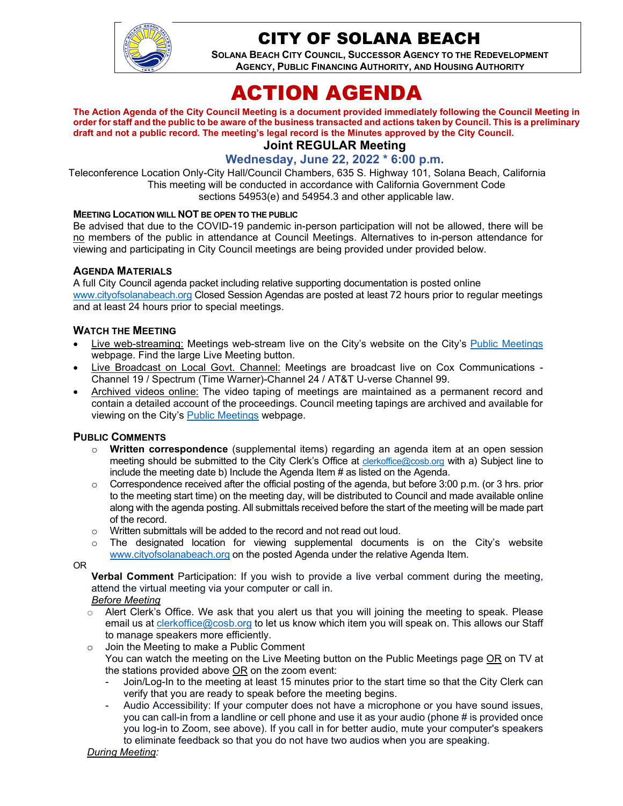

## CITY OF SOLANA BEACH

**SOLANA BEACH CITY COUNCIL, SUCCESSOR AGENCY TO THE REDEVELOPMENT AGENCY, PUBLIC FINANCING AUTHORITY, AND HOUSING AUTHORITY** 

# ACTION AGENDA

**The Action Agenda of the City Council Meeting is a document provided immediately following the Council Meeting in order for staff and the public to be aware of the business transacted and actions taken by Council. This is a preliminary draft and not a public record. The meeting's legal record is the Minutes approved by the City Council.**

### **Joint REGULAR Meeting**

#### **Wednesday, June 22, 2022 \* 6:00 p.m.**

Teleconference Location Only-City Hall/Council Chambers, 635 S. Highway 101, Solana Beach, California This meeting will be conducted in accordance with California Government Code sections 54953(e) and 54954.3 and other applicable law.

#### **MEETING LOCATION WILL NOT BE OPEN TO THE PUBLIC**

Be advised that due to the COVID-19 pandemic in-person participation will not be allowed, there will be no members of the public in attendance at Council Meetings. Alternatives to in-person attendance for viewing and participating in City Council meetings are being provided under provided below.

#### **AGENDA MATERIALS**

A full City Council agenda packet including relative supporting documentation is posted online [www.cityofsolanabeach.org](http://www.cityofsolanabeach.org/) Closed Session Agendas are posted at least 72 hours prior to regular meetings and at least 24 hours prior to special meetings.

#### **WATCH THE MEETING**

- Live web-streaming: Meetings web-stream live on the City's website on the City's [Public Meetings](https://urldefense.proofpoint.com/v2/url?u=https-3A__www.ci.solana-2Dbeach.ca.us_index.asp-3FSEC-3DF0F1200D-2D21C6-2D4A88-2D8AE1-2D0BC07C1A81A7-26Type-3DB-5FBASIC&d=DwMFAg&c=euGZstcaTDllvimEN8b7jXrwqOf-v5A_CdpgnVfiiMM&r=1XAsCUuqwK_tji2t0s1uIQ&m=wny2RVfZJ2tN24LkqZmkUWNpwL_peNtTZUBlTBZiMM4&s=WwpcEQpHHkFen6nS6q2waMuQ_VMZ-i1YZ60lD-dYRRE&e=) webpage. Find the large Live Meeting button.
- Live Broadcast on Local Govt. Channel: Meetings are broadcast live on Cox Communications Channel 19 / Spectrum (Time Warner)-Channel 24 / AT&T U-verse Channel 99.
- Archived videos online: The video taping of meetings are maintained as a permanent record and contain a detailed account of the proceedings. Council meeting tapings are archived and available for viewing on the City's [Public Meetings](https://urldefense.proofpoint.com/v2/url?u=https-3A__www.ci.solana-2Dbeach.ca.us_index.asp-3FSEC-3DF0F1200D-2D21C6-2D4A88-2D8AE1-2D0BC07C1A81A7-26Type-3DB-5FBASIC&d=DwMFAg&c=euGZstcaTDllvimEN8b7jXrwqOf-v5A_CdpgnVfiiMM&r=1XAsCUuqwK_tji2t0s1uIQ&m=wny2RVfZJ2tN24LkqZmkUWNpwL_peNtTZUBlTBZiMM4&s=WwpcEQpHHkFen6nS6q2waMuQ_VMZ-i1YZ60lD-dYRRE&e=) webpage.

#### **PUBLIC COMMENTS**

- o **Written correspondence** (supplemental items) regarding an agenda item at an open session meeting should be submitted to the City Clerk's Office at [clerkoffice@cosb.org](mailto:clerkoffice@cosb.org) with a) Subject line to include the meeting date b) Include the Agenda Item # as listed on the Agenda.
- $\circ$  Correspondence received after the official posting of the agenda, but before 3:00 p.m. (or 3 hrs. prior to the meeting start time) on the meeting day, will be distributed to Council and made available online along with the agenda posting. All submittals received before the start of the meeting will be made part of the record.
- o Written submittals will be added to the record and not read out loud.
- $\circ$  The designated location for viewing supplemental documents is on the City's website [www.cityofsolanabeach.org](http://www.cityofsolanabeach.org/) on the posted Agenda under the relative Agenda Item.

OR

**Verbal Comment** Participation: If you wish to provide a live verbal comment during the meeting, attend the virtual meeting via your computer or call in.

- *Before Meeting*
- $\circ$  Alert Clerk's Office. We ask that you alert us that you will joining the meeting to speak. Please email us at [clerkoffice@cosb.org](mailto:clerkoffice@cosb.org) to let us know which item you will speak on. This allows our Staff to manage speakers more efficiently.
- o Join the Meeting to make a Public Comment You can watch the meeting on the Live Meeting button on the Public Meetings page OR on TV at the stations provided above OR on the zoom event:
	- Join/Log-In to the meeting at least 15 minutes prior to the start time so that the City Clerk can verify that you are ready to speak before the meeting begins.
	- Audio Accessibility: If your computer does not have a microphone or you have sound issues, you can call-in from a landline or cell phone and use it as your audio (phone # is provided once you log-in to Zoom, see above). If you call in for better audio, mute your computer's speakers to eliminate feedback so that you do not have two audios when you are speaking.

#### *During Meeting:*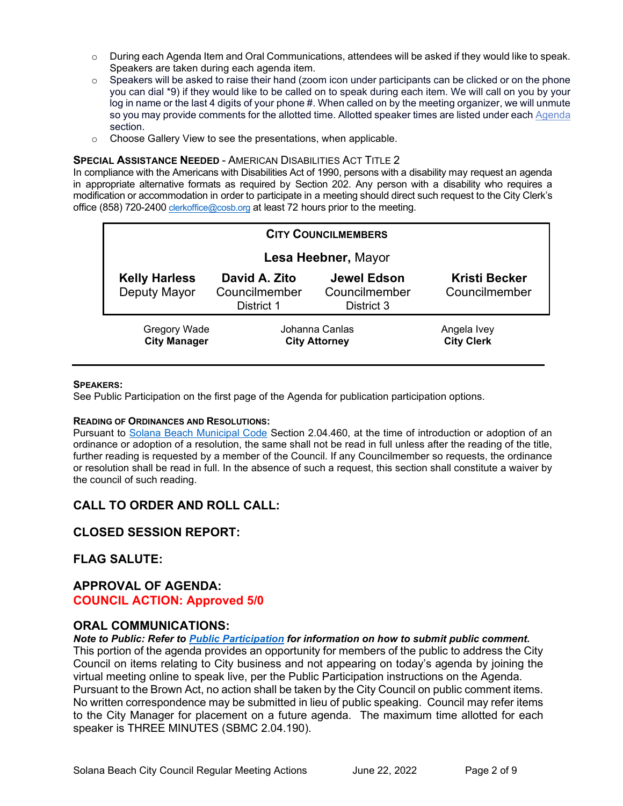- o During each Agenda Item and Oral Communications, attendees will be asked if they would like to speak. Speakers are taken during each agenda item.
- $\circ$  Speakers will be asked to raise their hand (zoom icon under participants can be clicked or on the phone you can dial \*9) if they would like to be called on to speak during each item. We will call on you by your log in name or the last 4 digits of your phone #. When called on by the meeting organizer, we will unmute so you may provide comments for the allotted time. Allotted speaker times are listed under eac[h Agenda](https://urldefense.proofpoint.com/v2/url?u=https-3A__www.ci.solana-2Dbeach.ca.us_index.asp-3FSEC-3DF0F1200D-2D21C6-2D4A88-2D8AE1-2D0BC07C1A81A7-26Type-3DB-5FBASIC&d=DwMFaQ&c=euGZstcaTDllvimEN8b7jXrwqOf-v5A_CdpgnVfiiMM&r=1XAsCUuqwK_tji2t0s1uIQ&m=C7WzXfOw2_nkEFMJClT55zZsF4tmIf_7KTn0o1WpYqI&s=3DcsWExM2_nx_xpvFtXslUjphiXd0MDCCF18y_Qy5yU&e=) section.
- o Choose Gallery View to see the presentations, when applicable.

#### **SPECIAL ASSISTANCE NEEDED** - AMERICAN DISABILITIES ACT TITLE 2

In compliance with the Americans with Disabilities Act of 1990, persons with a disability may request an agenda in appropriate alternative formats as required by Section 202. Any person with a disability who requires a modification or accommodation in order to participate in a meeting should direct such request to the City Clerk's office (858) 720-2400 [clerkoffice@cosb.org](mailto:EMAILGRP-CityClerksOfc@cosb.org) at least 72 hours prior to the meeting.

| <b>CITY COUNCILMEMBERS</b>           |                                              |                                            |                                       |
|--------------------------------------|----------------------------------------------|--------------------------------------------|---------------------------------------|
| Lesa Heebner, Mayor                  |                                              |                                            |                                       |
| <b>Kelly Harless</b><br>Deputy Mayor | David A. Zito<br>Councilmember<br>District 1 | Jewel Edson<br>Councilmember<br>District 3 | <b>Kristi Becker</b><br>Councilmember |
| Gregory Wade<br><b>City Manager</b>  | Johanna Canlas<br><b>City Attorney</b>       |                                            | Angela Ivey<br><b>City Clerk</b>      |

#### **SPEAKERS:**

See Public Participation on the first page of the Agenda for publication participation options.

#### **READING OF ORDINANCES AND RESOLUTIONS:**

Pursuant to [Solana Beach Municipal Code](https://www.codepublishing.com/CA/SolanaBeach/) Section 2.04.460, at the time of introduction or adoption of an ordinance or adoption of a resolution, the same shall not be read in full unless after the reading of the title, further reading is requested by a member of the Council. If any Councilmember so requests, the ordinance or resolution shall be read in full. In the absence of such a request, this section shall constitute a waiver by the council of such reading.

## **CALL TO ORDER AND ROLL CALL:**

#### **CLOSED SESSION REPORT:**

#### **FLAG SALUTE:**

#### **APPROVAL OF AGENDA: COUNCIL ACTION: Approved 5/0**

#### **ORAL COMMUNICATIONS:**

*Note to Public: Refer to Public Participation for information on how to submit public comment.*  This portion of the agenda provides an opportunity for members of the public to address the City Council on items relating to City business and not appearing on today's agenda by joining the virtual meeting online to speak live, per the Public Participation instructions on the Agenda. Pursuant to the Brown Act, no action shall be taken by the City Council on public comment items.

No written correspondence may be submitted in lieu of public speaking. Council may refer items to the City Manager for placement on a future agenda. The maximum time allotted for each speaker is THREE MINUTES (SBMC 2.04.190).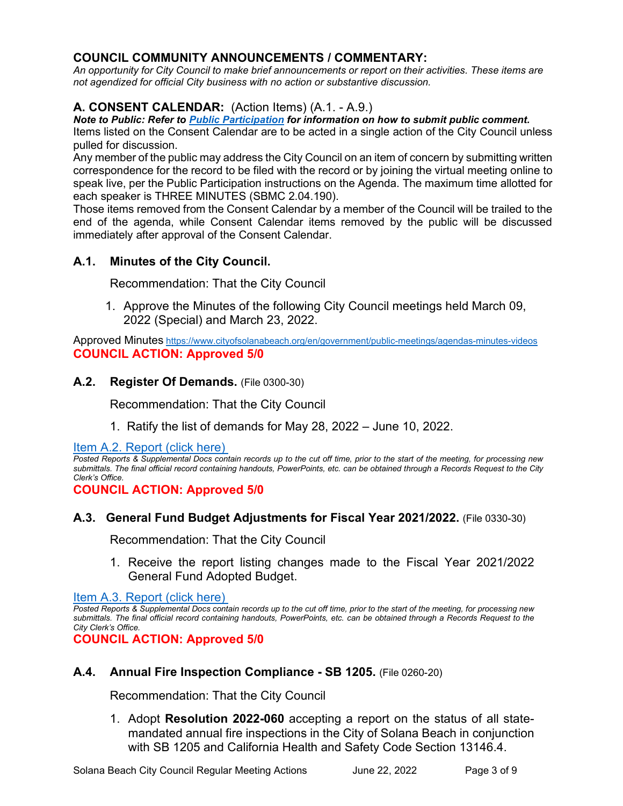## **COUNCIL COMMUNITY ANNOUNCEMENTS / COMMENTARY:**

*An opportunity for City Council to make brief announcements or report on their activities. These items are not agendized for official City business with no action or substantive discussion.* 

## **A. CONSENT CALENDAR:** (Action Items) (A.1. - A.9.)

*Note to Public: Refer to Public Participation for information on how to submit public comment.* 

Items listed on the Consent Calendar are to be acted in a single action of the City Council unless pulled for discussion.

Any member of the public may address the City Council on an item of concern by submitting written correspondence for the record to be filed with the record or by joining the virtual meeting online to speak live, per the Public Participation instructions on the Agenda. The maximum time allotted for each speaker is THREE MINUTES (SBMC 2.04.190).

Those items removed from the Consent Calendar by a member of the Council will be trailed to the end of the agenda, while Consent Calendar items removed by the public will be discussed immediately after approval of the Consent Calendar.

## **A.1. Minutes of the City Council.**

Recommendation: That the City Council

1. Approve the Minutes of the following City Council meetings held March 09, 2022 (Special) and March 23, 2022.

Approved Minutes <https://www.cityofsolanabeach.org/en/government/public-meetings/agendas-minutes-videos> **COUNCIL ACTION: Approved 5/0**

## **A.2. Register Of Demands.** (File 0300-30)

Recommendation: That the City Council

1. Ratify the list of demands for May 28, 2022 – June 10, 2022.

[Item A.2. Report \(click here\)](https://solanabeach.govoffice3.com/vertical/Sites/%7B840804C2-F869-4904-9AE3-720581350CE7%7D/uploads/A.2._Report_-_6-22-22_-_O.pdf) 

*Posted Reports & Supplemental Docs contain records up to the cut off time, prior to the start of the meeting, for processing new submittals. The final official record containing handouts, PowerPoints, etc. can be obtained through a Records Request to the City Clerk's Office.*

**COUNCIL ACTION: Approved 5/0**

## **A.3. General Fund Budget Adjustments for Fiscal Year 2021/2022.** (File 0330-30)

Recommendation: That the City Council

1. Receive the report listing changes made to the Fiscal Year 2021/2022 General Fund Adopted Budget.

[Item A.3. Report \(click here\)](https://solanabeach.govoffice3.com/vertical/Sites/%7B840804C2-F869-4904-9AE3-720581350CE7%7D/uploads/A.3._Report_-_6-22-22_-_O.pdf) 

*Posted Reports & Supplemental Docs contain records up to the cut off time, prior to the start of the meeting, for processing new submittals. The final official record containing handouts, PowerPoints, etc. can be obtained through a Records Request to the City Clerk's Office.*

**COUNCIL ACTION: Approved 5/0**

## **A.4. Annual Fire Inspection Compliance - SB 1205.** (File 0260-20)

Recommendation: That the City Council

1. Adopt **Resolution 2022-060** accepting a report on the status of all statemandated annual fire inspections in the City of Solana Beach in conjunction with SB 1205 and California Health and Safety Code Section 13146.4.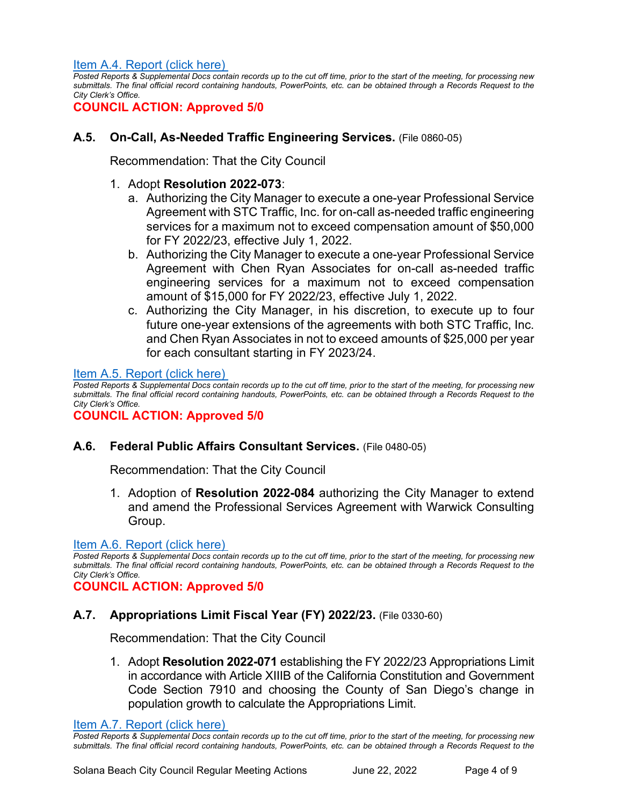#### [Item A.4. Report \(click here\)](https://solanabeach.govoffice3.com/vertical/Sites/%7B840804C2-F869-4904-9AE3-720581350CE7%7D/uploads/A.4._Report_-_6-22-22_-_O.pdf)

*Posted Reports & Supplemental Docs contain records up to the cut off time, prior to the start of the meeting, for processing new submittals. The final official record containing handouts, PowerPoints, etc. can be obtained through a Records Request to the City Clerk's Office.*

**COUNCIL ACTION: Approved 5/0**

## **A.5. On-Call, As-Needed Traffic Engineering Services.** (File 0860-05)

Recommendation: That the City Council

#### 1. Adopt **Resolution 2022-073**:

- a. Authorizing the City Manager to execute a one-year Professional Service Agreement with STC Traffic, Inc. for on-call as-needed traffic engineering services for a maximum not to exceed compensation amount of \$50,000 for FY 2022/23, effective July 1, 2022.
- b. Authorizing the City Manager to execute a one-year Professional Service Agreement with Chen Ryan Associates for on-call as-needed traffic engineering services for a maximum not to exceed compensation amount of \$15,000 for FY 2022/23, effective July 1, 2022.
- c. Authorizing the City Manager, in his discretion, to execute up to four future one-year extensions of the agreements with both STC Traffic, Inc. and Chen Ryan Associates in not to exceed amounts of \$25,000 per year for each consultant starting in FY 2023/24.

#### [Item A.5. Report \(click here\)](https://solanabeach.govoffice3.com/vertical/Sites/%7B840804C2-F869-4904-9AE3-720581350CE7%7D/uploads/A.5._Report_-_6-22-22_-_O.pdf)

*Posted Reports & Supplemental Docs contain records up to the cut off time, prior to the start of the meeting, for processing new submittals. The final official record containing handouts, PowerPoints, etc. can be obtained through a Records Request to the City Clerk's Office.*

#### **COUNCIL ACTION: Approved 5/0**

#### **A.6. Federal Public Affairs Consultant Services.** (File 0480-05)

Recommendation: That the City Council

1. Adoption of **Resolution 2022-084** authorizing the City Manager to extend and amend the Professional Services Agreement with Warwick Consulting Group.

#### [Item A.6. Report \(click here\)](https://solanabeach.govoffice3.com/vertical/Sites/%7B840804C2-F869-4904-9AE3-720581350CE7%7D/uploads/A.6._Report_6-22-22_-_O.pdf)

*Posted Reports & Supplemental Docs contain records up to the cut off time, prior to the start of the meeting, for processing new submittals. The final official record containing handouts, PowerPoints, etc. can be obtained through a Records Request to the City Clerk's Office.*

#### **COUNCIL ACTION: Approved 5/0**

#### **A.7. Appropriations Limit Fiscal Year (FY) 2022/23.** (File 0330-60)

Recommendation: That the City Council

1. Adopt **Resolution 2022-071** establishing the FY 2022/23 Appropriations Limit in accordance with Article XIIIB of the California Constitution and Government Code Section 7910 and choosing the County of San Diego's change in population growth to calculate the Appropriations Limit.

[Item A.7. Report \(click here\)](https://solanabeach.govoffice3.com/vertical/Sites/%7B840804C2-F869-4904-9AE3-720581350CE7%7D/uploads/A.7._Report_-_6-22-22_-_O.pdf) 

*Posted Reports & Supplemental Docs contain records up to the cut off time, prior to the start of the meeting, for processing new submittals. The final official record containing handouts, PowerPoints, etc. can be obtained through a Records Request to the*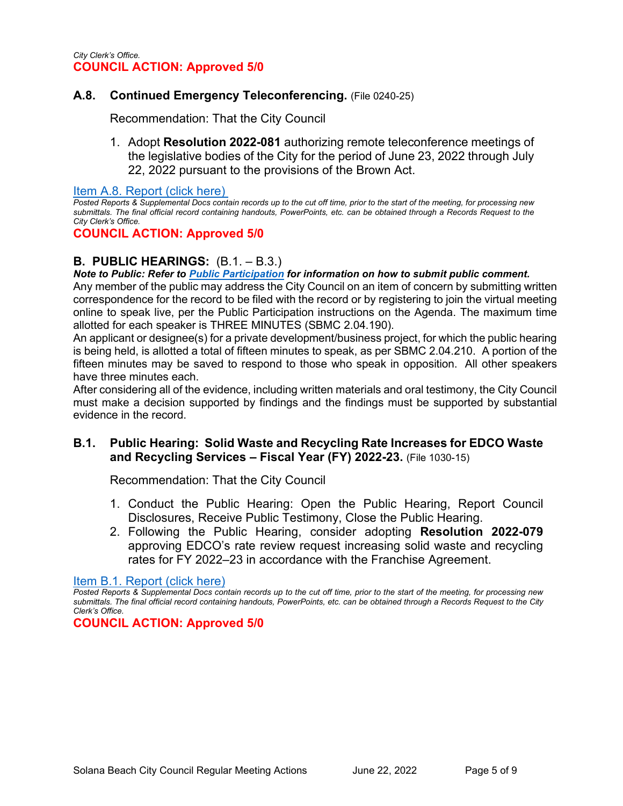## **A.8. Continued Emergency Teleconferencing.** (File 0240-25)

Recommendation: That the City Council

1. Adopt **Resolution 2022-081** authorizing remote teleconference meetings of the legislative bodies of the City for the period of June 23, 2022 through July 22, 2022 pursuant to the provisions of the Brown Act.

[Item A.8. Report \(click here\)](https://solanabeach.govoffice3.com/vertical/Sites/%7B840804C2-F869-4904-9AE3-720581350CE7%7D/uploads/A.8._Report_-_6-22-22_-_O.pdf) 

*Posted Reports & Supplemental Docs contain records up to the cut off time, prior to the start of the meeting, for processing new submittals. The final official record containing handouts, PowerPoints, etc. can be obtained through a Records Request to the City Clerk's Office.*

#### **COUNCIL ACTION: Approved 5/0**

## **B. PUBLIC HEARINGS:** (B.1. – B.3.)

*Note to Public: Refer to Public Participation for information on how to submit public comment.* 

Any member of the public may address the City Council on an item of concern by submitting written correspondence for the record to be filed with the record or by registering to join the virtual meeting online to speak live, per the Public Participation instructions on the Agenda. The maximum time allotted for each speaker is THREE MINUTES (SBMC 2.04.190).

An applicant or designee(s) for a private development/business project, for which the public hearing is being held, is allotted a total of fifteen minutes to speak, as per SBMC 2.04.210. A portion of the fifteen minutes may be saved to respond to those who speak in opposition. All other speakers have three minutes each.

After considering all of the evidence, including written materials and oral testimony, the City Council must make a decision supported by findings and the findings must be supported by substantial evidence in the record.

## **B.1. Public Hearing: Solid Waste and Recycling Rate Increases for EDCO Waste and Recycling Services – Fiscal Year (FY) 2022-23.** (File 1030-15)

Recommendation: That the City Council

- 1. Conduct the Public Hearing: Open the Public Hearing, Report Council Disclosures, Receive Public Testimony, Close the Public Hearing.
- 2. Following the Public Hearing, consider adopting **Resolution 2022-079** approving EDCO's rate review request increasing solid waste and recycling rates for FY 2022–23 in accordance with the Franchise Agreement.

[Item B.1. Report \(click here\)](https://solanabeach.govoffice3.com/vertical/Sites/%7B840804C2-F869-4904-9AE3-720581350CE7%7D/uploads/B.1._Report_-_6-22-22_-_O.pdf)

*Posted Reports & Supplemental Docs contain records up to the cut off time, prior to the start of the meeting, for processing new submittals. The final official record containing handouts, PowerPoints, etc. can be obtained through a Records Request to the City Clerk's Office.*

#### **COUNCIL ACTION: Approved 5/0**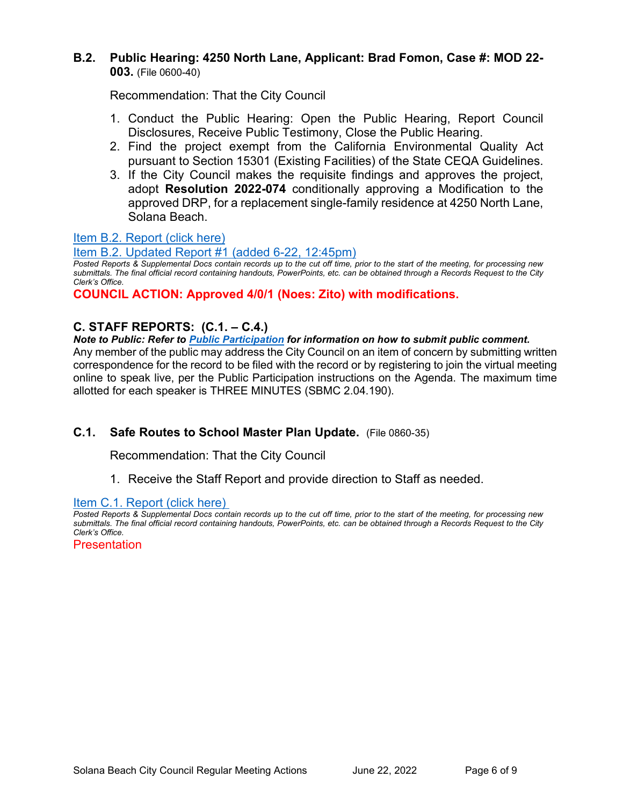## **B.2. Public Hearing: 4250 North Lane, Applicant: Brad Fomon, Case #: MOD 22- 003.** (File 0600-40)

Recommendation: That the City Council

- 1. Conduct the Public Hearing: Open the Public Hearing, Report Council Disclosures, Receive Public Testimony, Close the Public Hearing.
- 2. Find the project exempt from the California Environmental Quality Act pursuant to Section 15301 (Existing Facilities) of the State CEQA Guidelines.
- 3. If the City Council makes the requisite findings and approves the project, adopt **Resolution 2022-074** conditionally approving a Modification to the approved DRP, for a replacement single-family residence at 4250 North Lane, Solana Beach.

## [Item B.2. Report \(click here\)](https://solanabeach.govoffice3.com/vertical/Sites/%7B840804C2-F869-4904-9AE3-720581350CE7%7D/uploads/B.2._Report_-_6-22-22_(2)_-_O.pdf)

## [Item B.2. Updated Report #1 \(added 6-22, 12:45pm\)](https://www.solana-beach.360civic.com/sites/default/files/Solana%20Beach/City%20Clerk/Documents/2022/06-22-22/Reg/Blue%20Folders/B.2.%20North%20Lane/Staff%20Upd/B.2.%20Updated%20Report%20%231%20-%206-22%20(1245pm).pdf)

*Posted Reports & Supplemental Docs contain records up to the cut off time, prior to the start of the meeting, for processing new submittals. The final official record containing handouts, PowerPoints, etc. can be obtained through a Records Request to the City Clerk's Office.*

**COUNCIL ACTION: Approved 4/0/1 (Noes: Zito) with modifications.** 

## **C. STAFF REPORTS: (C.1. – C.4.)**

#### *Note to Public: Refer to Public Participation for information on how to submit public comment.*

Any member of the public may address the City Council on an item of concern by submitting written correspondence for the record to be filed with the record or by registering to join the virtual meeting online to speak live, per the Public Participation instructions on the Agenda. The maximum time allotted for each speaker is THREE MINUTES (SBMC 2.04.190).

## **C.1. Safe Routes to School Master Plan Update.** (File 0860-35)

Recommendation: That the City Council

1. Receive the Staff Report and provide direction to Staff as needed.

## Item C.1. Report (click here)

*Posted Reports & Supplemental Docs contain records up to the cut off time, prior to the start of the meeting, for processing new submittals. The final official record containing handouts, PowerPoints, etc. can be obtained through a Records Request to the City Clerk's Office.*

**Presentation**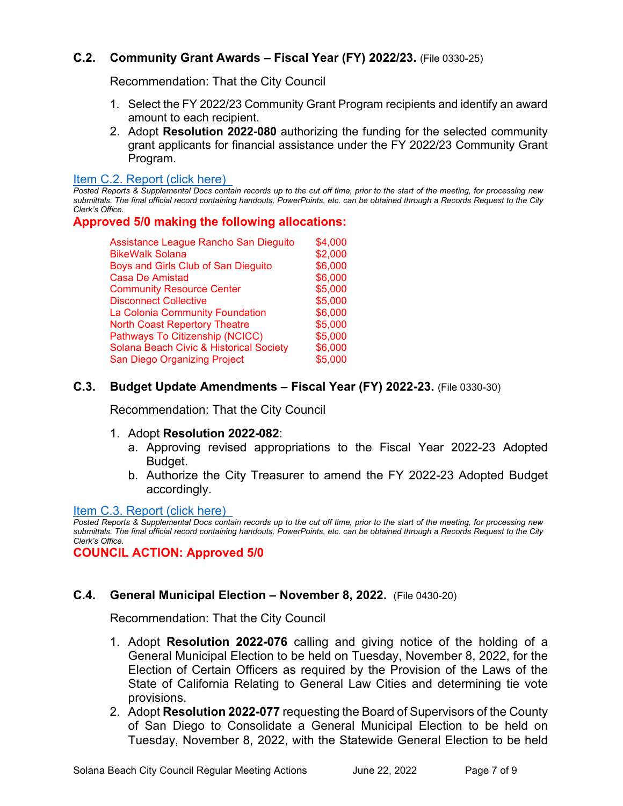## **C.2. Community Grant Awards – Fiscal Year (FY) 2022/23.** (File 0330-25)

Recommendation: That the City Council

- 1. Select the FY 2022/23 Community Grant Program recipients and identify an award amount to each recipient.
- 2. Adopt **Resolution 2022-080** authorizing the funding for the selected community grant applicants for financial assistance under the FY 2022/23 Community Grant Program.

#### [Item C.2. Report](https://solanabeach.govoffice3.com/vertical/Sites/%7B840804C2-F869-4904-9AE3-720581350CE7%7D/uploads/C.2._Report_-_6-22-22_-_O.pdf) (click here)

*Posted Reports & Supplemental Docs contain records up to the cut off time, prior to the start of the meeting, for processing new submittals. The final official record containing handouts, PowerPoints, etc. can be obtained through a Records Request to the City Clerk's Office.*

#### **Approved 5/0 making the following allocations:**

Assistance League Rancho San Dieguito \$4,000 BikeWalk Solana  $$2.000$ Boys and Girls Club of San Dieguito \$6,000 Casa De Amistad **\$6,000** Community Resource Center **\$5,000** Disconnect Collective **\$5,000**<br>La Colonia Community Foundation \$6,000 La Colonia Community Foundation North Coast Repertory Theatre  $$5,000$ Pathways To Citizenship (NCICC) \$5,000 Solana Beach Civic & Historical Society \$6,000 San Diego Organizing Project \$5,000

## **C.3. Budget Update Amendments – Fiscal Year (FY) 2022-23.** (File 0330-30)

Recommendation: That the City Council

- 1. Adopt **Resolution 2022-082**:
	- a. Approving revised appropriations to the Fiscal Year 2022-23 Adopted Budget.
	- b. Authorize the City Treasurer to amend the FY 2022-23 Adopted Budget accordingly.

#### [Item C.3. Report \(click here\)](https://solanabeach.govoffice3.com/vertical/Sites/%7B840804C2-F869-4904-9AE3-720581350CE7%7D/uploads/C.3._Report_-_6-22-22_-O.pdf)

*Posted Reports & Supplemental Docs contain records up to the cut off time, prior to the start of the meeting, for processing new submittals. The final official record containing handouts, PowerPoints, etc. can be obtained through a Records Request to the City Clerk's Office.*

**COUNCIL ACTION: Approved 5/0**

## **C.4. General Municipal Election – November 8, 2022.** (File 0430-20)

Recommendation: That the City Council

- 1. Adopt **Resolution 2022-076** calling and giving notice of the holding of a General Municipal Election to be held on Tuesday, November 8, 2022, for the Election of Certain Officers as required by the Provision of the Laws of the State of California Relating to General Law Cities and determining tie vote provisions.
- 2. Adopt **Resolution 2022-077** requesting the Board of Supervisors of the County of San Diego to Consolidate a General Municipal Election to be held on Tuesday, November 8, 2022, with the Statewide General Election to be held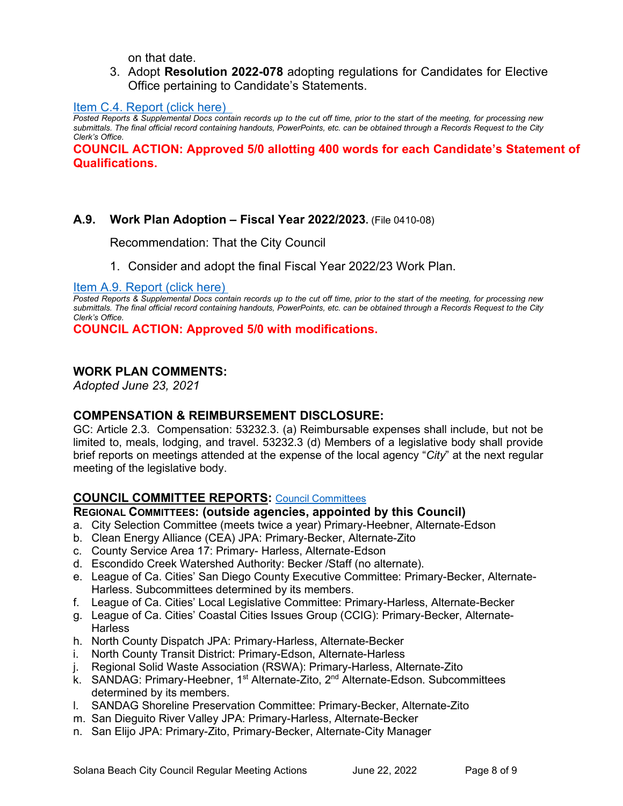on that date.

3. Adopt **Resolution 2022-078** adopting regulations for Candidates for Elective Office pertaining to Candidate's Statements.

[Item C.4. Report \(click here\)](https://solanabeach.govoffice3.com/vertical/Sites/%7B840804C2-F869-4904-9AE3-720581350CE7%7D/uploads/C.4._Report_-_6-22-22_-_O.pdf) 

*Posted Reports & Supplemental Docs contain records up to the cut off time, prior to the start of the meeting, for processing new submittals. The final official record containing handouts, PowerPoints, etc. can be obtained through a Records Request to the City Clerk's Office.* 

**COUNCIL ACTION: Approved 5/0 allotting 400 words for each Candidate's Statement of Qualifications.** 

#### **A.9. Work Plan Adoption – Fiscal Year 2022/2023.** (File 0410-08)

Recommendation: That the City Council

1. Consider and adopt the final Fiscal Year 2022/23 Work Plan.

[Item A.9. Report \(click here\)](https://solanabeach.govoffice3.com/vertical/Sites/%7B840804C2-F869-4904-9AE3-720581350CE7%7D/uploads/A.9._Report_(click_here)_-06-22-22_-_O.pdf) 

*Posted Reports & Supplemental Docs contain records up to the cut off time, prior to the start of the meeting, for processing new submittals. The final official record containing handouts, PowerPoints, etc. can be obtained through a Records Request to the City Clerk's Office.*

**COUNCIL ACTION: Approved 5/0 with modifications.** 

#### **WORK PLAN COMMENTS:**

*Adopted June 23, 2021*

## **COMPENSATION & REIMBURSEMENT DISCLOSURE:**

GC: Article 2.3. Compensation: 53232.3. (a) Reimbursable expenses shall include, but not be limited to, meals, lodging, and travel. 53232.3 (d) Members of a legislative body shall provide brief reports on meetings attended at the expense of the local agency "*City*" at the next regular meeting of the legislative body.

## **COUNCIL COMMITTEE REPORTS:** [Council Committees](https://www.ci.solana-beach.ca.us/index.asp?SEC=584E1192-3850-46EA-B977-088AC3E81E0D&Type=B_BASIC)

#### **REGIONAL COMMITTEES: (outside agencies, appointed by this Council)**

- a. City Selection Committee (meets twice a year) Primary-Heebner, Alternate-Edson
- b. Clean Energy Alliance (CEA) JPA: Primary-Becker, Alternate-Zito
- c. County Service Area 17: Primary- Harless, Alternate-Edson
- d. Escondido Creek Watershed Authority: Becker /Staff (no alternate).
- e. League of Ca. Cities' San Diego County Executive Committee: Primary-Becker, Alternate-Harless. Subcommittees determined by its members.
- f. League of Ca. Cities' Local Legislative Committee: Primary-Harless, Alternate-Becker
- g. League of Ca. Cities' Coastal Cities Issues Group (CCIG): Primary-Becker, Alternate-**Harless**
- h. North County Dispatch JPA: Primary-Harless, Alternate-Becker
- i. North County Transit District: Primary-Edson, Alternate-Harless
- j. Regional Solid Waste Association (RSWA): Primary-Harless, Alternate-Zito
- k. SANDAG: Primary-Heebner, 1<sup>st</sup> Alternate-Zito, 2<sup>nd</sup> Alternate-Edson. Subcommittees determined by its members.
- l. SANDAG Shoreline Preservation Committee: Primary-Becker, Alternate-Zito
- m. San Dieguito River Valley JPA: Primary-Harless, Alternate-Becker
- n. San Elijo JPA: Primary-Zito, Primary-Becker, Alternate-City Manager